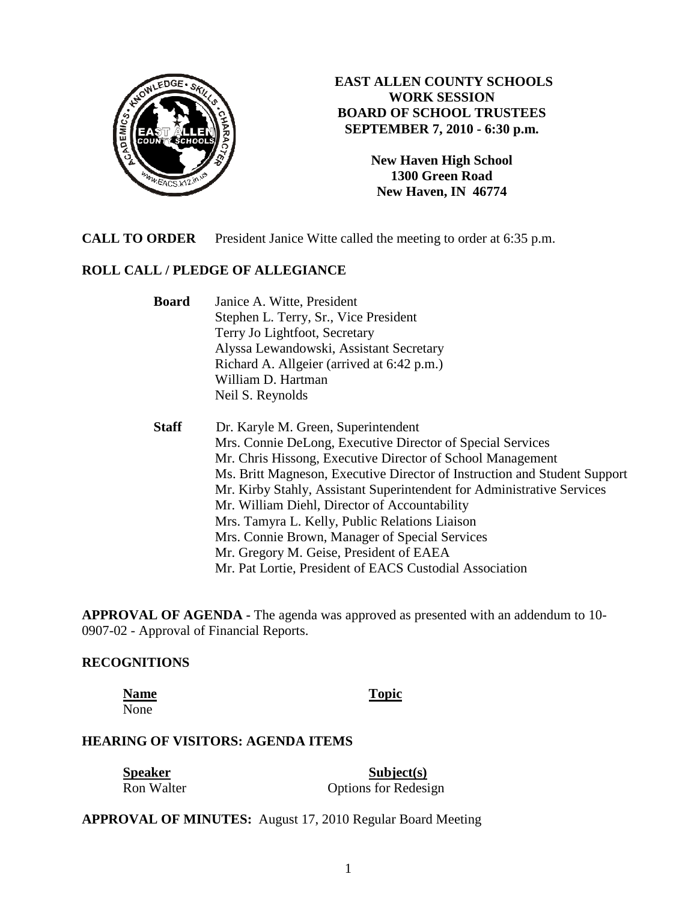

# **EAST ALLEN COUNTY SCHOOLS WORK SESSION BOARD OF SCHOOL TRUSTEES SEPTEMBER 7, 2010 - 6:30 p.m.**

**New Haven High School 1300 Green Road New Haven, IN 46774**

**CALL TO ORDER** President Janice Witte called the meeting to order at 6:35 p.m.

# **ROLL CALL / PLEDGE OF ALLEGIANCE**

 **Board** Janice A. Witte, President Stephen L. Terry, Sr., Vice President Terry Jo Lightfoot, Secretary Alyssa Lewandowski, Assistant Secretary Richard A. Allgeier (arrived at 6:42 p.m.) William D. Hartman Neil S. Reynolds

 **Staff** Dr. Karyle M. Green, Superintendent Mrs. Connie DeLong, Executive Director of Special Services Mr. Chris Hissong, Executive Director of School Management Ms. Britt Magneson, Executive Director of Instruction and Student Support Mr. Kirby Stahly, Assistant Superintendent for Administrative Services Mr. William Diehl, Director of Accountability Mrs. Tamyra L. Kelly, Public Relations Liaison Mrs. Connie Brown, Manager of Special Services Mr. Gregory M. Geise, President of EAEA Mr. Pat Lortie, President of EACS Custodial Association

**APPROVAL OF AGENDA -** The agenda was approved as presented with an addendum to 10- 0907-02 - Approval of Financial Reports.

### **RECOGNITIONS**

**Name** Topic None

#### **HEARING OF VISITORS: AGENDA ITEMS**

| <b>Speaker</b> | Subject(s)                  |
|----------------|-----------------------------|
| Ron Walter     | <b>Options for Redesign</b> |

**APPROVAL OF MINUTES:** August 17, 2010 Regular Board Meeting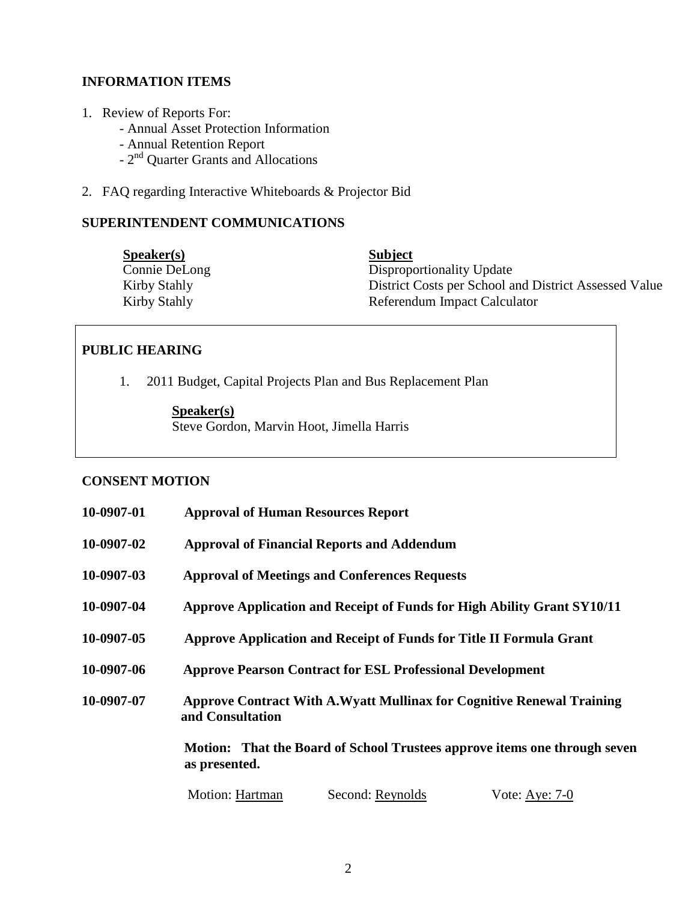# **INFORMATION ITEMS**

- 1. Review of Reports For:
	- Annual Asset Protection Information
	- Annual Retention Report
	- 2<sup>nd</sup> Quarter Grants and Allocations
- 2. FAQ regarding Interactive Whiteboards & Projector Bid

## **SUPERINTENDENT COMMUNICATIONS**

| S <sub>p</sub> e <sub>aker</sub> (s) | <b>Subject</b>                                        |
|--------------------------------------|-------------------------------------------------------|
| Connie DeLong                        | Disproportionality Update                             |
| Kirby Stahly                         | District Costs per School and District Assessed Value |
| Kirby Stahly                         | Referendum Impact Calculator                          |

## **PUBLIC HEARING**

1. 2011 Budget, Capital Projects Plan and Bus Replacement Plan

**Speaker(s)** 

Steve Gordon, Marvin Hoot, Jimella Harris

### **CONSENT MOTION**

| 10-0907-01 | <b>Approval of Human Resources Report</b>                                                        |  |  |
|------------|--------------------------------------------------------------------------------------------------|--|--|
| 10-0907-02 | <b>Approval of Financial Reports and Addendum</b>                                                |  |  |
| 10-0907-03 | <b>Approval of Meetings and Conferences Requests</b>                                             |  |  |
| 10-0907-04 | Approve Application and Receipt of Funds for High Ability Grant SY10/11                          |  |  |
| 10-0907-05 | Approve Application and Receipt of Funds for Title II Formula Grant                              |  |  |
| 10-0907-06 | <b>Approve Pearson Contract for ESL Professional Development</b>                                 |  |  |
| 10-0907-07 | <b>Approve Contract With A.Wyatt Mullinax for Cognitive Renewal Training</b><br>and Consultation |  |  |
|            | Motion: That the Board of School Trustees approve items one through seven<br>as presented.       |  |  |
|            | Motion: Hartman<br>Second: Reynolds<br>Vote: Aye: 7-0                                            |  |  |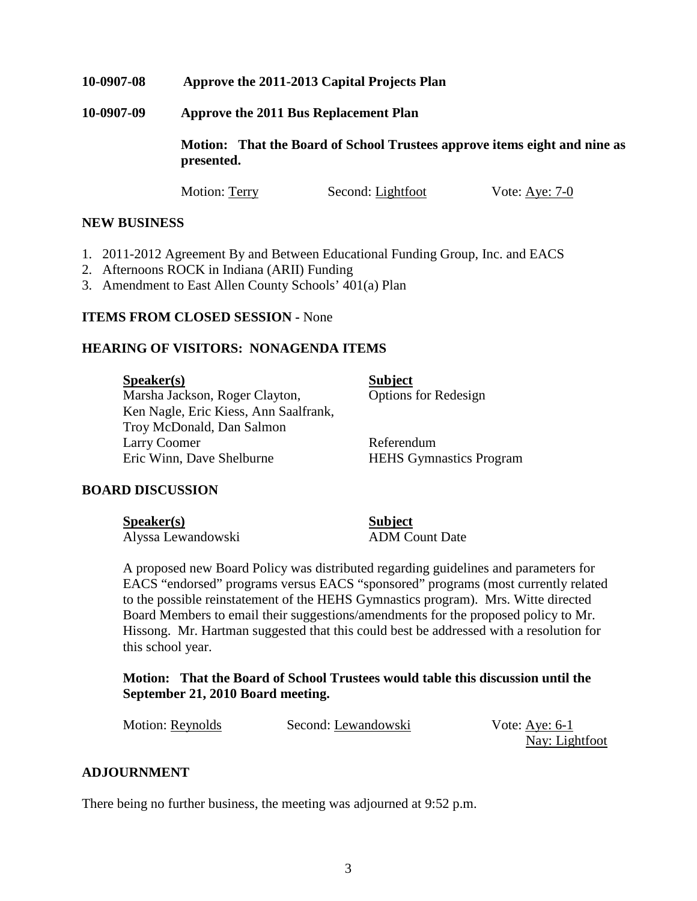### **10-0907-08 Approve the 2011-2013 Capital Projects Plan**

**10-0907-09 Approve the 2011 Bus Replacement Plan** 

**Motion: That the Board of School Trustees approve items eight and nine as presented.** 

Motion: Terry Second: Lightfoot Vote: Aye: 7-0

#### **NEW BUSINESS**

- 1. 2011-2012 Agreement By and Between Educational Funding Group, Inc. and EACS
- 2. Afternoons ROCK in Indiana (ARII) Funding
- 3. Amendment to East Allen County Schools' 401(a) Plan

#### **ITEMS FROM CLOSED SESSION -** None

#### **HEARING OF VISITORS: NONAGENDA ITEMS**

**Speaker(s)** Subject Marsha Jackson, Roger Clayton, Options for Redesign Ken Nagle, Eric Kiess, Ann Saalfrank, Troy McDonald, Dan Salmon Larry Coomer Referendum Eric Winn, Dave Shelburne HEHS Gymnastics Program

#### **BOARD DISCUSSION**

Speaker(s) Subject

Alyssa Lewandowski ADM Count Date

A proposed new Board Policy was distributed regarding guidelines and parameters for EACS "endorsed" programs versus EACS "sponsored" programs (most currently related to the possible reinstatement of the HEHS Gymnastics program). Mrs. Witte directed Board Members to email their suggestions/amendments for the proposed policy to Mr. Hissong. Mr. Hartman suggested that this could best be addressed with a resolution for this school year.

 **Motion: That the Board of School Trustees would table this discussion until the September 21, 2010 Board meeting.** 

Motion: Reynolds Second: Lewandowski Vote: Aye: 6-1

Nay: Lightfoot

#### **ADJOURNMENT**

There being no further business, the meeting was adjourned at 9:52 p.m.